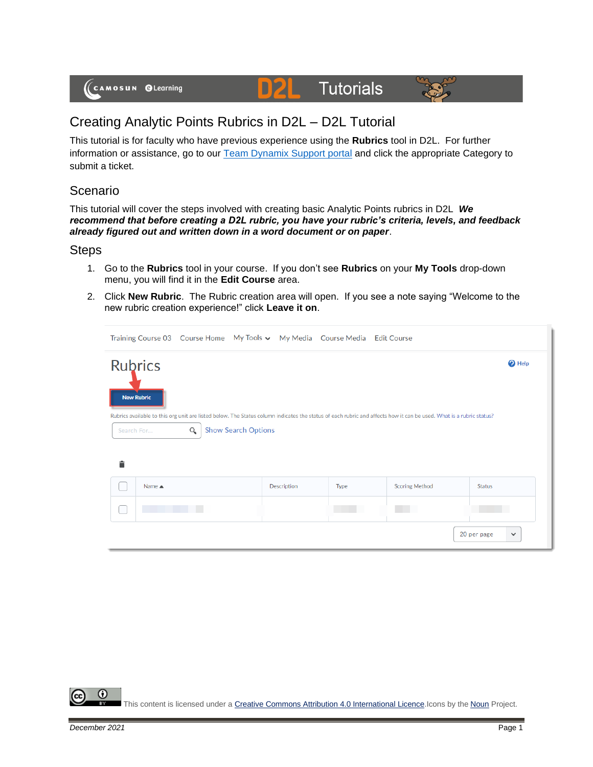# **Tutorials**



## Creating Analytic Points Rubrics in D2L – D2L Tutorial

D

This tutorial is for faculty who have previous experience using the **Rubrics** tool in D2L. For further information or assistance, go to our [Team Dynamix Support portal](https://camosun.teamdynamix.com/TDClient/67/Portal/Requests/ServiceCatalog?CategoryID=523) and click the appropriate Category to submit a ticket.

### Scenario

This tutorial will cover the steps involved with creating basic Analytic Points rubrics in D2L *We recommend that before creating a D2L rubric, you have your rubric's criteria, levels, and feedback already figured out and written down in a word document or on paper*.

#### **Steps**

- 1. Go to the **Rubrics** tool in your course. If you don't see **Rubrics** on your **My Tools** drop-down menu, you will find it in the **Edit Course** area.
- 2. Click **New Rubric**. The Rubric creation area will open. If you see a note saying "Welcome to the new rubric creation experience!" click **Leave it on**.

|   |                                                                                                                                                                                                                              |  |  |                    | Training Course 03 Course Home My Tools v My Media Course Media Edit Course |                       |                             |  |  |  |  |
|---|------------------------------------------------------------------------------------------------------------------------------------------------------------------------------------------------------------------------------|--|--|--------------------|-----------------------------------------------------------------------------|-----------------------|-----------------------------|--|--|--|--|
|   | <b>Rubrics</b><br>$\bullet$ Help<br><b>New Rubric</b><br>Rubrics available to this org unit are listed below. The Status column indicates the status of each rubric and affects how it can be used. What is a rubric status? |  |  |                    |                                                                             |                       |                             |  |  |  |  |
|   | <b>Show Search Options</b><br>Q<br>Search For                                                                                                                                                                                |  |  |                    |                                                                             |                       |                             |  |  |  |  |
|   |                                                                                                                                                                                                                              |  |  |                    |                                                                             |                       |                             |  |  |  |  |
| 言 |                                                                                                                                                                                                                              |  |  |                    |                                                                             |                       |                             |  |  |  |  |
|   | Name $\triangle$                                                                                                                                                                                                             |  |  | <b>Description</b> | Type                                                                        | <b>Scoring Method</b> | <b>Status</b>               |  |  |  |  |
|   |                                                                                                                                                                                                                              |  |  |                    |                                                                             |                       |                             |  |  |  |  |
|   |                                                                                                                                                                                                                              |  |  |                    |                                                                             |                       | 20 per page<br>$\checkmark$ |  |  |  |  |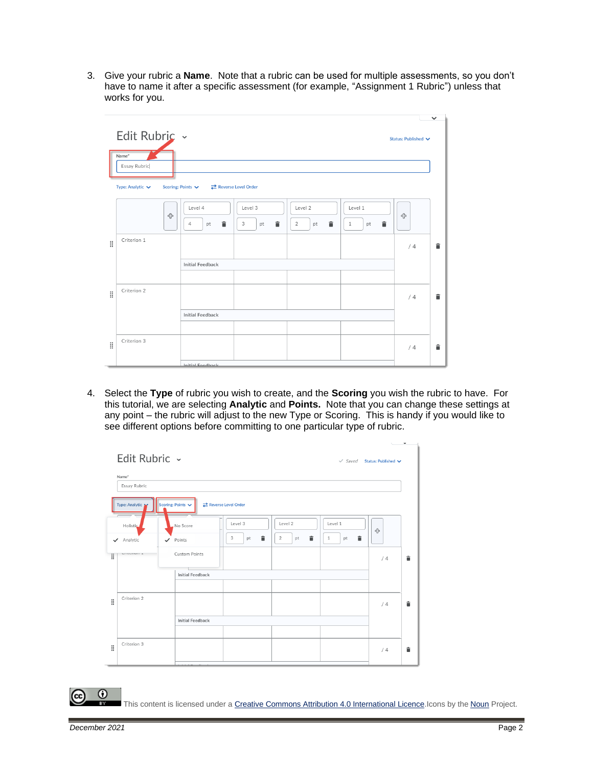3. Give your rubric a **Name**. Note that a rubric can be used for multiple assessments, so you don't have to name it after a specific assessment (for example, "Assignment 1 Rubric") unless that works for you.

|   |                                                                                |                         |                         |                                      |                                    |                     | $\checkmark$ |
|---|--------------------------------------------------------------------------------|-------------------------|-------------------------|--------------------------------------|------------------------------------|---------------------|--------------|
|   | Edit Rubric ~<br>Name*<br>Essay Rubric<br>Type: Analytic $\blacktriangleright$ | Scoring: Points $\vee$  | Reverse Level Order     |                                      |                                    | Status: Published V |              |
|   | ⊕                                                                              | Level 4<br>û<br>pt<br>4 | Level 3<br>Ê<br>3<br>pt | Level 2<br>貪<br>$\overline{2}$<br>pt | Level 1<br>貪<br>$\mathbf{1}$<br>pt | ╬                   |              |
| H | Criterion 1                                                                    |                         |                         |                                      |                                    | /4                  | î            |
|   |                                                                                | <b>Initial Feedback</b> |                         |                                      |                                    |                     |              |
|   |                                                                                |                         |                         |                                      |                                    |                     |              |
| H | Criterion 2                                                                    |                         |                         |                                      |                                    | /4                  | â            |
|   |                                                                                | <b>Initial Feedback</b> |                         |                                      |                                    |                     |              |
|   |                                                                                |                         |                         |                                      |                                    |                     |              |
| H | Criterion 3                                                                    |                         |                         |                                      |                                    | /4                  | 貪            |
|   |                                                                                | Initial Engelback       |                         |                                      |                                    |                     |              |

4. Select the **Type** of rubric you wish to create, and the **Scoring** you wish the rubric to have. For this tutorial, we are selecting **Analytic** and **Points.** Note that you can change these settings at any point – the rubric will adjust to the new Type or Scoring. This is handy if you would like to see different options before committing to one particular type of rubric.

| Name*          |                         |                     |              |                         |    |
|----------------|-------------------------|---------------------|--------------|-------------------------|----|
| Essay Rubric   |                         |                     |              |                         |    |
| Type: Analytic | Scoring: Points         | Reverse Level Order |              |                         |    |
| Holistic       | No Score                | Level 3             | Level 2      | Level 1                 | ╬  |
| Analytic<br>✓  | Points<br>$\checkmark$  | 貪<br>3<br>pt        | â<br>2<br>pt | û<br>$\mathbf{1}$<br>pt |    |
| UITEUTIUTE A   | Custom Points           |                     |              |                         | /4 |
|                | <b>Initial Feedback</b> |                     |              |                         |    |
| Criterion 2    |                         |                     |              |                         | /4 |
|                | <b>Initial Feedback</b> |                     |              |                         |    |
| Criterion 3    |                         |                     |              |                         |    |

This content is licensed under [a Creative Commons Attribution 4.0 International Licence.I](https://creativecommons.org/licenses/by/4.0/)cons by the [Noun](https://creativecommons.org/website-icons/) Project.

⋒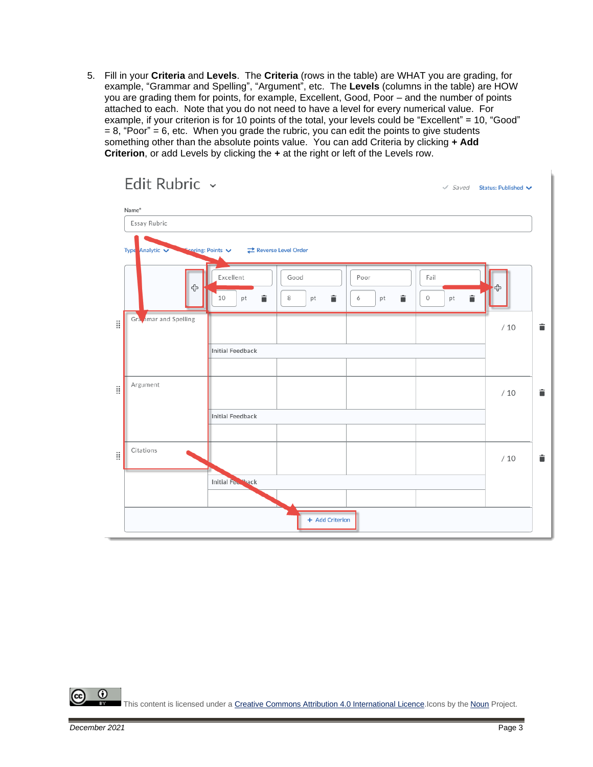5. Fill in your **Criteria** and **Levels**. The **Criteria** (rows in the table) are WHAT you are grading, for example, "Grammar and Spelling", "Argument", etc. The **Levels** (columns in the table) are HOW you are grading them for points, for example, Excellent, Good, Poor – and the number of points attached to each. Note that you do not need to have a level for every numerical value. For example, if your criterion is for 10 points of the total, your levels could be "Excellent" = 10, "Good"  $= 8$ , "Poor" = 6, etc. When you grade the rubric, you can edit the points to give students something other than the absolute points value. You can add Criteria by clicking **+ Add Criterion**, or add Levels by clicking the **+** at the right or left of the Levels row.

|    | Edit Rubric $\sim$<br>Name*                                                    |                               |                      |                      |                                | √ Saved Status: Published V |   |
|----|--------------------------------------------------------------------------------|-------------------------------|----------------------|----------------------|--------------------------------|-----------------------------|---|
|    | Essay Rubric                                                                   |                               |                      |                      |                                |                             |   |
|    | $\blacktriangleright$ Scoring: Points $\blacktriangleright$<br>Type Analytic V | Reverse Level Order           |                      |                      |                                |                             |   |
|    | ♧                                                                              | Excellent<br>û<br>10<br>pt    | Good<br>û<br>8<br>pt | Poor<br>î<br>6<br>pt | Fail<br>î<br>$\mathbb O$<br>pt | 45                          |   |
| H  | Gra <sub>v</sub> imar and Spelling                                             |                               |                      |                      |                                | /10                         | û |
|    |                                                                                | <b>Initial Feedback</b>       |                      |                      |                                |                             |   |
| ä  | Argument                                                                       |                               |                      |                      |                                | /10                         | û |
|    |                                                                                | <b>Initial Feedback</b>       |                      |                      |                                |                             |   |
| O. | Citations                                                                      |                               |                      |                      |                                | /10                         | î |
|    |                                                                                | Initial Few <sup>Ho</sup> ack |                      |                      |                                |                             |   |
|    |                                                                                |                               | + Add Criterion      |                      |                                |                             |   |

⋒ This content is licensed under [a Creative Commons Attribution 4.0 International Licence.I](https://creativecommons.org/licenses/by/4.0/)cons by the [Noun](https://creativecommons.org/website-icons/) Project.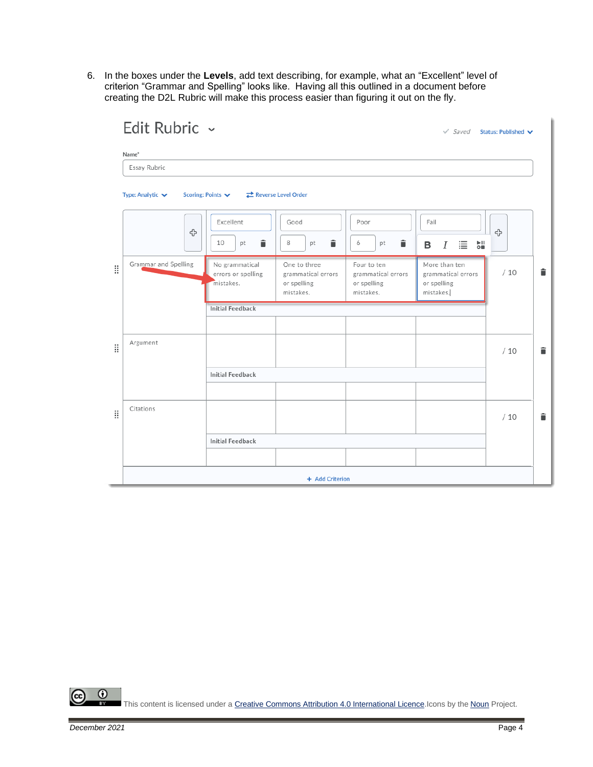6. In the boxes under the **Levels**, add text describing, for example, what an "Excellent" level of criterion "Grammar and Spelling" looks like. Having all this outlined in a document before creating the D2L Rubric will make this process easier than figuring it out on the fly.

|   | Edit Rubric ~<br>Name*               |                                                   |                                                                |                                                               |                                                                 | $\checkmark$ Saved Status: Published $\checkmark$ |   |
|---|--------------------------------------|---------------------------------------------------|----------------------------------------------------------------|---------------------------------------------------------------|-----------------------------------------------------------------|---------------------------------------------------|---|
|   | Essay Rubric                         |                                                   |                                                                |                                                               |                                                                 |                                                   |   |
|   | Type: Analytic $\blacktriangleright$ | Scoring: Points V                                 | Reverse Level Order                                            |                                                               |                                                                 |                                                   |   |
|   | ු                                    | Excellent<br>î<br>10<br>pt                        | Good<br>î<br>8<br>pt                                           | Poor<br>î<br>6<br>pt                                          | Fail<br>빏<br>這<br>в<br>Ι                                        | ╬                                                 |   |
| H | Grammar and Spelling                 | No grammatical<br>errors or spelling<br>mistakes. | One to three<br>grammatical errors<br>or spelling<br>mistakes. | Four to ten<br>grammatical errors<br>or spelling<br>mistakes. | More than ten<br>grammatical errors<br>or spelling<br>mistakes. | /10                                               | î |
|   |                                      | <b>Initial Feedback</b>                           |                                                                |                                                               |                                                                 |                                                   |   |
| H | Argument                             |                                                   |                                                                |                                                               |                                                                 | /10                                               | î |
|   |                                      | <b>Initial Feedback</b>                           |                                                                |                                                               |                                                                 |                                                   |   |
| H | Citations                            |                                                   |                                                                |                                                               |                                                                 | /10                                               | î |
|   |                                      | <b>Initial Feedback</b>                           |                                                                |                                                               |                                                                 |                                                   |   |
|   |                                      |                                                   |                                                                |                                                               |                                                                 |                                                   |   |
|   |                                      |                                                   | + Add Criterion                                                |                                                               |                                                                 |                                                   |   |

 $\odot$ (cc This content is licensed under [a Creative Commons Attribution 4.0 International Licence.I](https://creativecommons.org/licenses/by/4.0/)cons by the [Noun](https://creativecommons.org/website-icons/) Project.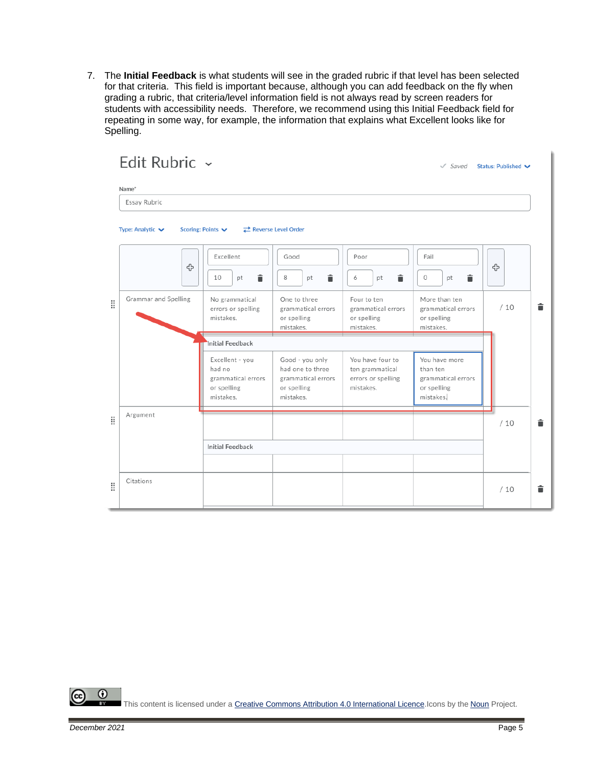7. The **Initial Feedback** is what students will see in the graded rubric if that level has been selected for that criteria. This field is important because, although you can add feedback on the fly when grading a rubric, that criteria/level information field is not always read by screen readers for students with accessibility needs. Therefore, we recommend using this Initial Feedback field for repeating in some way, for example, the information that explains what Excellent looks like for Spelling.

|   | Name*                                |                                                                             |                                                                                       |                                                                        |                                                                             |     |   |
|---|--------------------------------------|-----------------------------------------------------------------------------|---------------------------------------------------------------------------------------|------------------------------------------------------------------------|-----------------------------------------------------------------------------|-----|---|
|   | Essay Rubric                         |                                                                             |                                                                                       |                                                                        |                                                                             |     |   |
|   | Type: Analytic $\blacktriangleright$ | Scoring: Points                                                             | Reverse Level Order                                                                   |                                                                        |                                                                             |     |   |
|   | ╬                                    | Excellent<br>î<br>10<br>pt                                                  | Good<br>â<br>8<br>pt                                                                  | Poor<br>貪<br>6<br>рt                                                   | Fail<br>î<br>0<br>pt                                                        | ╬   |   |
| H | Grammar and Spelling                 | No grammatical<br>errors or spelling<br>mistakes.                           | One to three<br>grammatical errors<br>or spelling<br>mistakes.                        |                                                                        | More than ten<br>grammatical errors<br>or spelling<br>mistakes.             | /10 | â |
|   |                                      | Initial Feedback                                                            |                                                                                       |                                                                        |                                                                             |     |   |
|   |                                      | Excellent - you<br>had no<br>grammatical errors<br>or spelling<br>mistakes. | Good - you only<br>had one to three<br>grammatical errors<br>or spelling<br>mistakes. | You have four to<br>ten grammatical<br>errors or spelling<br>mistakes. | You have more<br>than ten<br>grammatical errors<br>or spelling<br>mistakes. |     |   |
| 8 | Argument                             |                                                                             |                                                                                       |                                                                        |                                                                             | /10 | û |
|   |                                      | <b>Initial Feedback</b>                                                     |                                                                                       |                                                                        |                                                                             |     |   |
|   |                                      |                                                                             |                                                                                       |                                                                        |                                                                             |     |   |
| 8 | Citations                            |                                                                             |                                                                                       |                                                                        |                                                                             | /10 | î |

 $\odot$ This content is licensed under [a Creative Commons Attribution 4.0 International Licence.I](https://creativecommons.org/licenses/by/4.0/)cons by the [Noun](https://creativecommons.org/website-icons/) Project.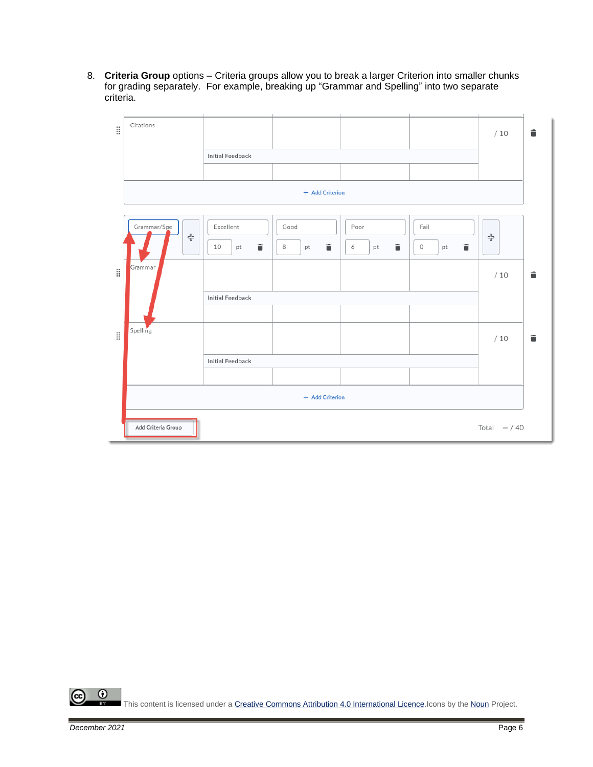8. **Criteria Group** options – Criteria groups allow you to break a larger Criterion into smaller chunks for grading separately. For example, breaking up "Grammar and Spelling" into two separate criteria.



 $\overline{0}$ This content is licensed under [a Creative Commons Attribution 4.0 International Licence.I](https://creativecommons.org/licenses/by/4.0/)cons by the [Noun](https://creativecommons.org/website-icons/) Project.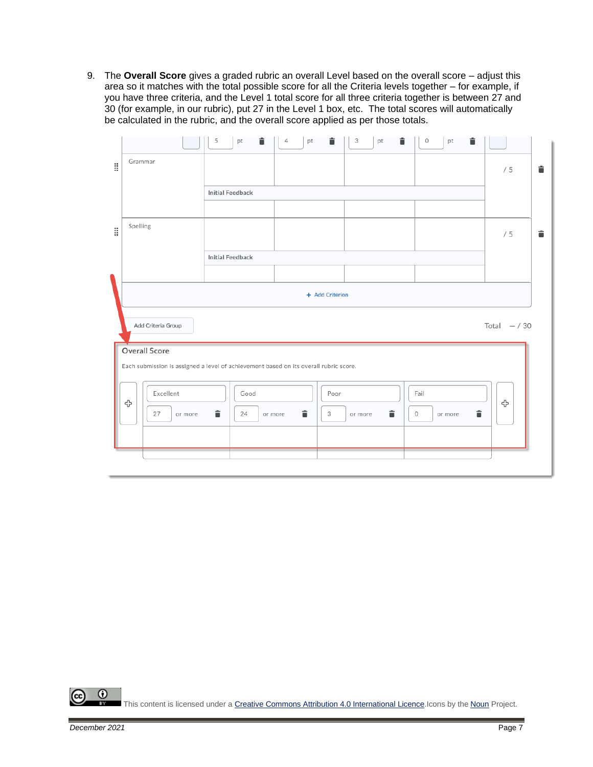9. The **Overall Score** gives a graded rubric an overall Level based on the overall score – adjust this area so it matches with the total possible score for all the Criteria levels together – for example, if you have three criteria, and the Level 1 total score for all three criteria together is between 27 and 30 (for example, in our rubric), put 27 in the Level 1 box, etc. The total scores will automatically be calculated in the rubric, and the overall score applied as per those totals.

|   |                                                                                       | î<br>5<br>pt            | 4<br>pt      | 貪<br>3<br>pt      | 貪<br>â<br>0<br>pt       |                |   |
|---|---------------------------------------------------------------------------------------|-------------------------|--------------|-------------------|-------------------------|----------------|---|
| ă | Grammar                                                                               |                         |              |                   |                         | /5             | û |
|   |                                                                                       | <b>Initial Feedback</b> |              |                   |                         |                |   |
|   |                                                                                       |                         |              |                   |                         |                |   |
| ă | Spelling                                                                              |                         |              |                   |                         | /5             | û |
|   |                                                                                       | <b>Initial Feedback</b> |              |                   |                         |                |   |
|   |                                                                                       |                         |              |                   |                         |                |   |
|   |                                                                                       |                         |              | + Add Criterion   |                         |                |   |
|   |                                                                                       |                         |              |                   |                         |                |   |
|   | Add Criteria Group                                                                    |                         |              |                   |                         | Total $- / 30$ |   |
|   | Overall Score                                                                         |                         |              |                   |                         |                |   |
|   | Each submission is assigned a level of achievement based on its overall rubric score. |                         |              |                   |                         |                |   |
|   | Excellent<br>⊕                                                                        | Good                    |              | Poor              | Fail                    | ⊕              |   |
|   | 27<br>or more                                                                         | î<br>24                 | î<br>or more | î<br>3<br>or more | Ê<br>$\circ$<br>or more |                |   |
|   |                                                                                       |                         |              |                   |                         |                |   |
|   |                                                                                       |                         |              |                   |                         |                |   |

 $\odot$ This content is licensed under [a Creative Commons Attribution 4.0 International Licence.I](https://creativecommons.org/licenses/by/4.0/)cons by the [Noun](https://creativecommons.org/website-icons/) Project.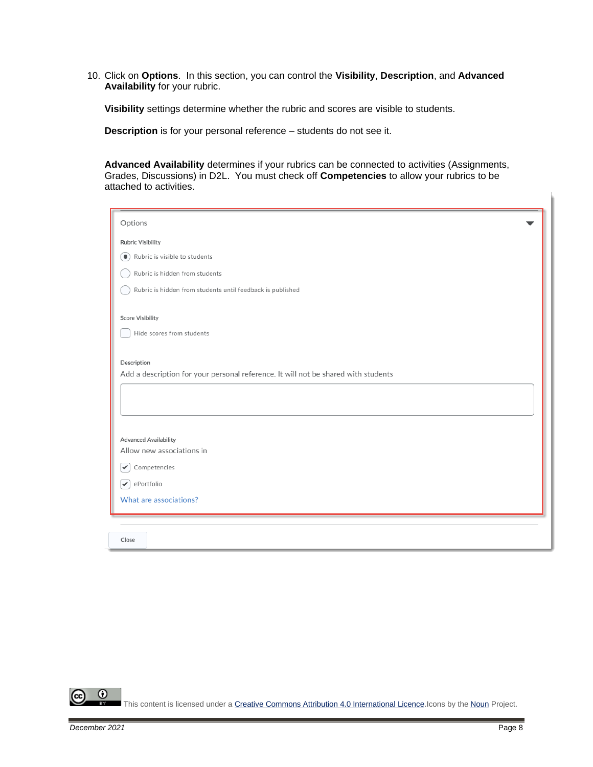10. Click on **Options**. In this section, you can control the **Visibility**, **Description**, and **Advanced Availability** for your rubric.

**Visibility** settings determine whether the rubric and scores are visible to students.

**Description** is for your personal reference – students do not see it.

**Advanced Availability** determines if your rubrics can be connected to activities (Assignments, Grades, Discussions) in D2L. You must check off **Competencies** to allow your rubrics to be attached to activities.

| Options                                                                            |  |  |  |  |  |
|------------------------------------------------------------------------------------|--|--|--|--|--|
| <b>Rubric Visibility</b>                                                           |  |  |  |  |  |
| Rubric is visible to students<br>$\bullet$                                         |  |  |  |  |  |
| Rubric is hidden from students                                                     |  |  |  |  |  |
| Rubric is hidden from students until feedback is published                         |  |  |  |  |  |
| <b>Score Visibility</b>                                                            |  |  |  |  |  |
| Hide scores from students                                                          |  |  |  |  |  |
| Description                                                                        |  |  |  |  |  |
| Add a description for your personal reference. It will not be shared with students |  |  |  |  |  |
|                                                                                    |  |  |  |  |  |
|                                                                                    |  |  |  |  |  |
|                                                                                    |  |  |  |  |  |
| <b>Advanced Availability</b>                                                       |  |  |  |  |  |
| Allow new associations in                                                          |  |  |  |  |  |
| Competencies<br>$\checkmark$                                                       |  |  |  |  |  |
| ePortfolio<br>$\checkmark$                                                         |  |  |  |  |  |
| What are associations?                                                             |  |  |  |  |  |
|                                                                                    |  |  |  |  |  |
| Close                                                                              |  |  |  |  |  |

 $\odot$ This content is licensed under [a Creative Commons Attribution 4.0 International Licence.I](https://creativecommons.org/licenses/by/4.0/)cons by the [Noun](https://creativecommons.org/website-icons/) Project.